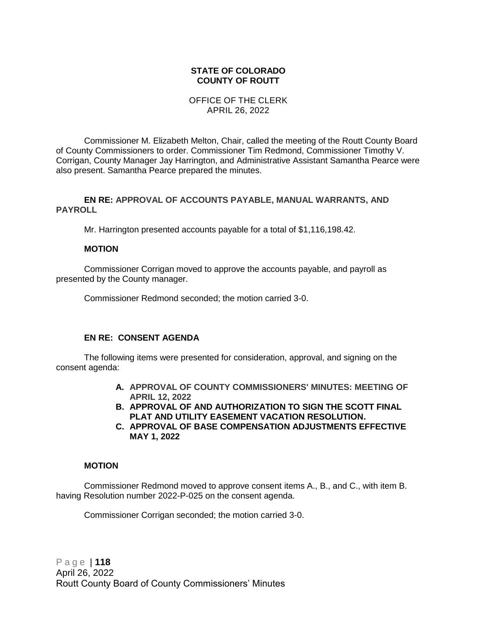#### **STATE OF COLORADO COUNTY OF ROUTT**

#### OFFICE OF THE CLERK APRIL 26, 2022

Commissioner M. Elizabeth Melton, Chair, called the meeting of the Routt County Board of County Commissioners to order. Commissioner Tim Redmond, Commissioner Timothy V. Corrigan, County Manager Jay Harrington, and Administrative Assistant Samantha Pearce were also present. Samantha Pearce prepared the minutes.

#### **EN RE: APPROVAL OF ACCOUNTS PAYABLE, MANUAL WARRANTS, AND PAYROLL**

Mr. Harrington presented accounts payable for a total of \$1,116,198.42.

#### **MOTION**

Commissioner Corrigan moved to approve the accounts payable, and payroll as presented by the County manager.

Commissioner Redmond seconded; the motion carried 3-0.

#### **EN RE: CONSENT AGENDA**

The following items were presented for consideration, approval, and signing on the consent agenda:

- **A. APPROVAL OF COUNTY COMMISSIONERS' MINUTES: MEETING OF APRIL 12, 2022**
- **B. APPROVAL OF AND AUTHORIZATION TO SIGN THE SCOTT FINAL PLAT AND UTILITY EASEMENT VACATION RESOLUTION.**
- **C. APPROVAL OF BASE COMPENSATION ADJUSTMENTS EFFECTIVE MAY 1, 2022**

#### **MOTION**

Commissioner Redmond moved to approve consent items A., B., and C., with item B. having Resolution number 2022-P-025 on the consent agenda.

Commissioner Corrigan seconded; the motion carried 3-0.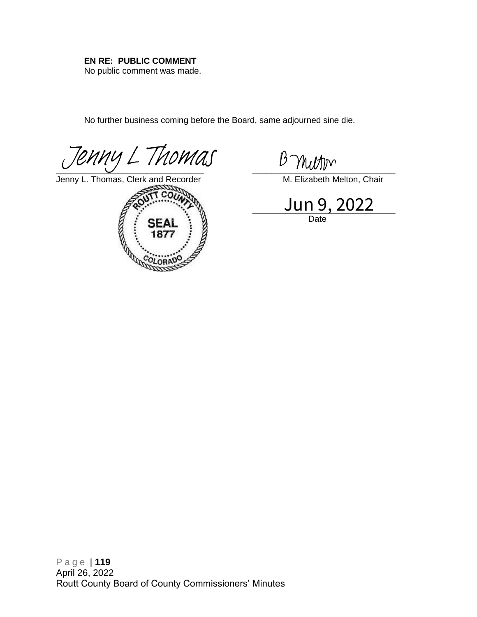### **EN RE: PUBLIC COMMENT**

No public comment was made.

No further business coming before the Board, same adjourned sine die.

 $\overline{C}$  . The set of the set of the set of the set of the set of the set of the set of the set of the set of the set of the set of the set of the set of the set of the set of the set of the set of the set of the set of t *[Jenny L Thomas](https://na4.documents.adobe.com/verifier?tx=CBJCHBCAABAA_oO80PxOEzEhQZDLmkyFojhqxivuMCYc)*  $\frac{\beta \text{ Muthm}}{\text{SVD}}$ <br>
Framy L. Thomas, Clerk and Recorder<br>
Framy L. Thomas, Clerk and Recorder<br>
Framy L. Thomas, Clerk and Recorder<br>  $\frac{1 \text{ m} \cdot 9,2022}{\beta}$ 

Jenny L. Thoma[s, Clerk and Recorder](https://na4.documents.adobe.com/verifier?tx=CBJCHBCAABAA_oO80PxOEzEhQZDLmkyFojhqxivuMCYc) M. Elizabeth Melton, Chair



Jun 9, 2022 Date